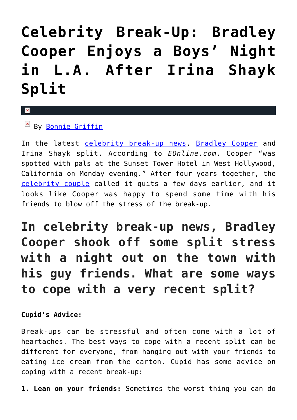# **[Celebrity Break-Up: Bradley](https://cupidspulse.com/130955/celebrity-break-up-bradley-cooper-enjoys-boys-night-after-irina-shayk-split/) [Cooper Enjoys a Boys' Night](https://cupidspulse.com/130955/celebrity-break-up-bradley-cooper-enjoys-boys-night-after-irina-shayk-split/) [in L.A. After Irina Shayk](https://cupidspulse.com/130955/celebrity-break-up-bradley-cooper-enjoys-boys-night-after-irina-shayk-split/) [Split](https://cupidspulse.com/130955/celebrity-break-up-bradley-cooper-enjoys-boys-night-after-irina-shayk-split/)**

### $\mathbf{\mathbf{z}}$

 $By$  [Bonnie Griffin](http://cupidspulse.com/130408/bonnie-griffin/)

In the latest [celebrity break-up news,](http://cupidspulse.com/celebrity-relationships/break-up-divorce/) [Bradley Cooper](http://cupidspulse.com/87043/bradley-cooper/) and Irina Shayk split. According to *EOnline.com*, Cooper "was spotted with pals at the Sunset Tower Hotel in West Hollywood, California on Monday evening." After four years together, the [celebrity couple](http://cupidspulse.com/celebrity-news/celebrity-dating/) called it quits a few days earlier, and it looks like Cooper was happy to spend some time with his friends to blow off the stress of the break-up.

### **In celebrity break-up news, Bradley Cooper shook off some split stress with a night out on the town with his guy friends. What are some ways to cope with a very recent split?**

### **Cupid's Advice:**

Break-ups can be stressful and often come with a lot of heartaches. The best ways to cope with a recent split can be different for everyone, from hanging out with your friends to eating ice cream from the carton. Cupid has some advice on coping with a recent break-up:

**1. Lean on your friends:** Sometimes the worst thing you can do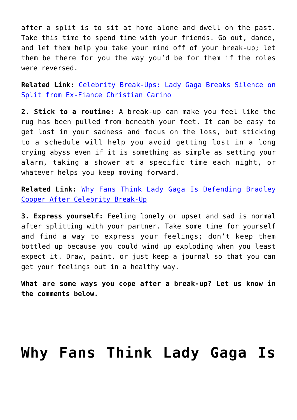after a split is to sit at home alone and dwell on the past. Take this time to spend time with your friends. Go out, dance, and let them help you take your mind off of your break-up; let them be there for you the way you'd be for them if the roles were reversed.

**Related Link:** [Celebrity Break-Ups: Lady Gaga Breaks Silence on](http://cupidspulse.com/130677/celebrity-break-ups-lady-gaga-breaks-silence-split-christian-carino/) [Split from Ex-Fiance Christian Carino](http://cupidspulse.com/130677/celebrity-break-ups-lady-gaga-breaks-silence-split-christian-carino/)

**2. Stick to a routine:** A break-up can make you feel like the rug has been pulled from beneath your feet. It can be easy to get lost in your sadness and focus on the loss, but sticking to a schedule will help you avoid getting lost in a long crying abyss even if it is something as simple as setting your alarm, taking a shower at a specific time each night, or whatever helps you keep moving forward.

**Related Link:** [Why Fans Think Lady Gaga Is Defending Bradley](http://cupidspulse.com/130900/lady-gaga-defending-bradley-cooper-celebrity-break-up/) [Cooper After Celebrity Break-Up](http://cupidspulse.com/130900/lady-gaga-defending-bradley-cooper-celebrity-break-up/)

**3. Express yourself:** Feeling lonely or upset and sad is normal after splitting with your partner. Take some time for yourself and find a way to express your feelings; don't keep them bottled up because you could wind up exploding when you least expect it. Draw, paint, or just keep a journal so that you can get your feelings out in a healthy way.

**What are some ways you cope after a break-up? Let us know in the comments below.**

## **[Why Fans Think Lady Gaga Is](https://cupidspulse.com/130900/lady-gaga-defending-bradley-cooper-celebrity-break-up/)**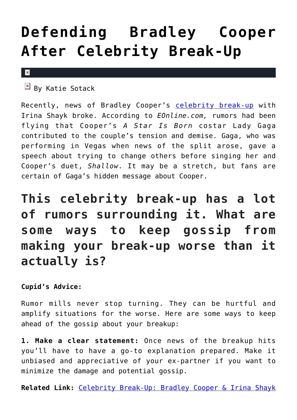## **[Defending Bradley Cooper](https://cupidspulse.com/130900/lady-gaga-defending-bradley-cooper-celebrity-break-up/) [After Celebrity Break-Up](https://cupidspulse.com/130900/lady-gaga-defending-bradley-cooper-celebrity-break-up/)**

#### $\pmb{\times}$

 $\overline{B}$  By Katie Sotack

Recently, news of Bradley Cooper's [celebrity break-up](http://cupidspulse.com/celebrity-news/celebrity-break-ups/) with Irina Shayk broke. According to *EOnline.com,* rumors had been flying that Cooper's *A Star Is Born* costar Lady Gaga contributed to the couple's tension and demise. Gaga, who was performing in Vegas when news of the split arose, gave a speech about trying to change others before singing her and Cooper's duet, *Shallow*. It may be a stretch, but fans are certain of Gaga's hidden message about Cooper.

**This celebrity break-up has a lot of rumors surrounding it. What are some ways to keep gossip from making your break-up worse than it actually is?**

### **Cupid's Advice:**

Rumor mills never stop turning. They can be hurtful and amplify situations for the worse. Here are some ways to keep ahead of the gossip about your breakup:

**1. Make a clear statement:** Once news of the breakup hits you'll have to have a go-to explanation prepared. Make it unbiased and appreciative of your ex-partner if you want to minimize the damage and potential gossip.

**Related Link:** [Celebrity Break-Up: Bradley Cooper & Irina Shayk](http://cupidspulse.com/130802/celebrity-break-up-bradley-cooper-irina-shayk-split/)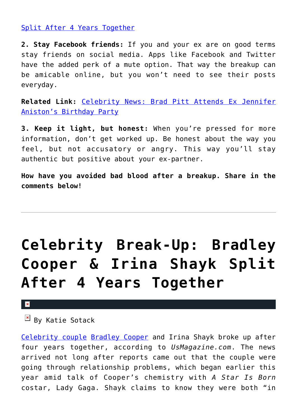### [Split After 4 Years Together](http://cupidspulse.com/130802/celebrity-break-up-bradley-cooper-irina-shayk-split/)

**2. Stay Facebook friends:** If you and your ex are on good terms stay friends on social media. Apps like Facebook and Twitter have the added perk of a mute option. That way the breakup can be amicable online, but you won't need to see their posts everyday.

**Related Link:** [Celebrity News: Brad Pitt Attends Ex Jennifer](http://cupidspulse.com/128731/celebrity-news-brad-pitt-attends-ex-jennifer-aniston-birthday-party/) [Aniston's Birthday Party](http://cupidspulse.com/128731/celebrity-news-brad-pitt-attends-ex-jennifer-aniston-birthday-party/)

**3. Keep it light, but honest:** When you're pressed for more information, don't get worked up. Be honest about the way you feel, but not accusatory or angry. This way you'll stay authentic but positive about your ex-partner.

**How have you avoided bad blood after a breakup. Share in the comments below!**

# **[Celebrity Break-Up: Bradley](https://cupidspulse.com/130802/celebrity-break-up-bradley-cooper-irina-shayk-split/) [Cooper & Irina Shayk Split](https://cupidspulse.com/130802/celebrity-break-up-bradley-cooper-irina-shayk-split/) [After 4 Years Together](https://cupidspulse.com/130802/celebrity-break-up-bradley-cooper-irina-shayk-split/)**

#### $\pmb{\times}$

 $\mathbb{F}$  By Katie Sotack

[Celebrity couple](http://cupidspulse.com/celebrity-news/celebrity-dating/) [Bradley Cooper](http://cupidspulse.com/87043/bradley-cooper/) and Irina Shayk broke up after four years together, according to *UsMagazine.com*. The news arrived not long after reports came out that the couple were going through relationship problems, which began earlier this year amid talk of Cooper's chemistry with *A Star Is Born* costar, Lady Gaga. Shayk claims to know they were both "in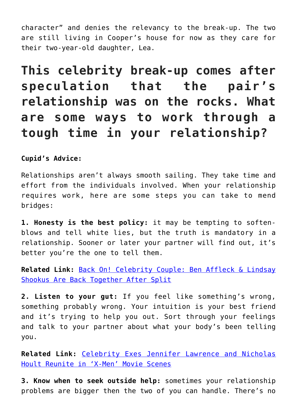character" and denies the relevancy to the break-up. The two are still living in Cooper's house for now as they care for their two-year-old daughter, Lea.

**This celebrity break-up comes after speculation that the pair's relationship was on the rocks. What are some ways to work through a tough time in your relationship?**

**Cupid's Advice:**

Relationships aren't always smooth sailing. They take time and effort from the individuals involved. When your relationship requires work, here are some steps you can take to mend bridges:

**1. Honesty is the best policy:** it may be tempting to softenblows and tell white lies, but the truth is mandatory in a relationship. Sooner or later your partner will find out, it's better you're the one to tell them.

**Related Link:** [Back On! Celebrity Couple: Ben Affleck & Lindsay](http://cupidspulse.com/129068/celebrity-couple-ben-affleck-lindsay-shookus-back-together/) [Shookus Are Back Together After Split](http://cupidspulse.com/129068/celebrity-couple-ben-affleck-lindsay-shookus-back-together/)

**2. Listen to your gut:** If you feel like something's wrong, something probably wrong. Your intuition is your best friend and it's trying to help you out. Sort through your feelings and talk to your partner about what your body's been telling you.

**Related Link:** [Celebrity Exes Jennifer Lawrence and Nicholas](http://cupidspulse.com/92582/celebrity-exes-jennifer-lawrence-nicholas-hoult-reunite-x-men/) [Hoult Reunite in 'X-Men' Movie Scenes](http://cupidspulse.com/92582/celebrity-exes-jennifer-lawrence-nicholas-hoult-reunite-x-men/)

**3. Know when to seek outside help:** sometimes your relationship problems are bigger then the two of you can handle. There's no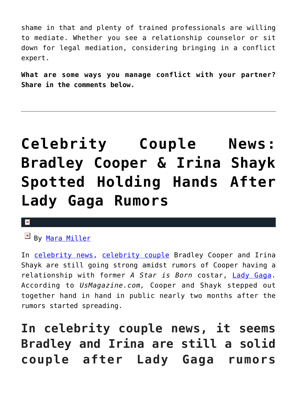shame in that and plenty of trained professionals are willing to mediate. Whether you see a relationship counselor or sit down for legal mediation, considering bringing in a conflict expert.

**What are some ways you manage conflict with your partner? Share in the comments below.**

# **[Celebrity Couple News:](https://cupidspulse.com/129917/celebrity-couple-news-bradley-cooper-irina-shayk-holding-hands-lady-gaga-rumors/) [Bradley Cooper & Irina Shayk](https://cupidspulse.com/129917/celebrity-couple-news-bradley-cooper-irina-shayk-holding-hands-lady-gaga-rumors/) [Spotted Holding Hands After](https://cupidspulse.com/129917/celebrity-couple-news-bradley-cooper-irina-shayk-holding-hands-lady-gaga-rumors/) [Lady Gaga Rumors](https://cupidspulse.com/129917/celebrity-couple-news-bradley-cooper-irina-shayk-holding-hands-lady-gaga-rumors/)**

#### $\mathbf x$

By [Mara Miller](http://cupidspulse.com/128278/mara-miller/)

In [celebrity news,](http://cupidspulse.com/celebrity-news/) [celebrity couple](http://cupidspulse.com/celebrity-news/celebrity-dating/) Bradley Cooper and Irina Shayk are still going strong amidst rumors of Cooper having a relationship with former *A Star is Born* costar, [Lady Gaga.](http://cupidspulse.com/88125/lady-gaga/) According to *UsMagazine.com,* Cooper and Shayk stepped out together hand in hand in public nearly two months after the rumors started spreading.

**In celebrity couple news, it seems Bradley and Irina are still a solid couple after Lady Gaga rumors**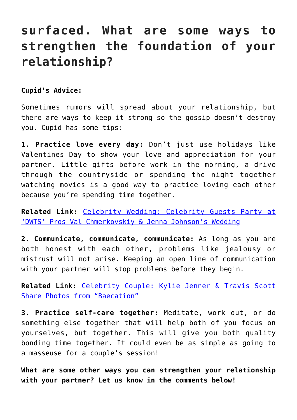### **surfaced. What are some ways to strengthen the foundation of your relationship?**

### **Cupid's Advice:**

Sometimes rumors will spread about your relationship, but there are ways to keep it strong so the gossip doesn't destroy you. Cupid has some tips:

**1. Practice love every day:** Don't just use holidays like Valentines Day to show your love and appreciation for your partner. Little gifts before work in the morning, a drive through the countryside or spending the night together watching movies is a good way to practice loving each other because you're spending time together.

**Related Link:** [Celebrity Wedding: Celebrity Guests Party at](http://cupidspulse.com/129880/celebrity-wedding-party-val-chmerkovskiy-jenna-johnson/) ['DWTS' Pros Val Chmerkovskiy & Jenna Johnson's Wedding](http://cupidspulse.com/129880/celebrity-wedding-party-val-chmerkovskiy-jenna-johnson/)

**2. Communicate, communicate, communicate:** As long as you are both honest with each other, problems like jealousy or mistrust will not arise. Keeping an open line of communication with your partner will stop problems before they begin.

**Related Link:** [Celebrity Couple: Kylie Jenner & Travis Scott](http://cupidspulse.com/129757/celebrity-couple-kylie-jenner-travis-scott-photos-vacation/) [Share Photos from "Baecation"](http://cupidspulse.com/129757/celebrity-couple-kylie-jenner-travis-scott-photos-vacation/)

**3. Practice self-care together:** Meditate, work out, or do something else together that will help both of you focus on yourselves, but together. This will give you both quality bonding time together. It could even be as simple as going to a masseuse for a couple's session!

**What are some other ways you can strengthen your relationship with your partner? Let us know in the comments below!**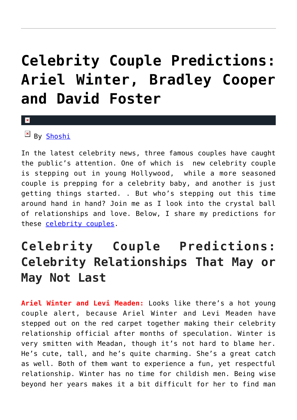## **[Celebrity Couple Predictions:](https://cupidspulse.com/116052/celebrity-couple-predictions-ariel-winter-bradley-cooper-david-foster/) [Ariel Winter, Bradley Cooper](https://cupidspulse.com/116052/celebrity-couple-predictions-ariel-winter-bradley-cooper-david-foster/) [and David Foster](https://cupidspulse.com/116052/celebrity-couple-predictions-ariel-winter-bradley-cooper-david-foster/)**

#### x

By [Shoshi](http://cupidspulse.com/relationship-experts/yolanda-shoshana/)

In the latest celebrity news, three famous couples have caught the public's attention. One of which is new celebrity couple is stepping out in young Hollywood, while a more seasoned couple is prepping for a celebrity baby, and another is just getting things started. . But who's stepping out this time around hand in hand? Join me as I look into the crystal ball of relationships and love. Below, I share my predictions for these [celebrity couples](http://cupidspulse.com/celebrity-relationships/long-term-relationships-flings/).

### **Celebrity Couple Predictions: Celebrity Relationships That May or May Not Last**

**Ariel Winter and Levi Meaden:** Looks like there's a hot young couple alert, because Ariel Winter and Levi Meaden have stepped out on the red carpet together making their celebrity relationship official after months of speculation. Winter is very smitten with Meadan, though it's not hard to blame her. He's cute, tall, and he's quite charming. She's a great catch as well. Both of them want to experience a fun, yet respectful relationship. Winter has no time for childish men. Being wise beyond her years makes it a bit difficult for her to find man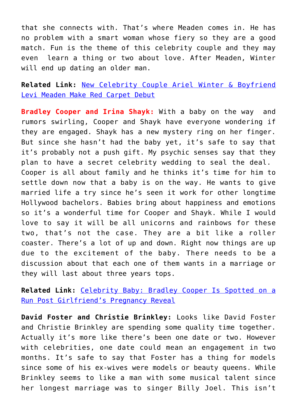that she connects with. That's where Meaden comes in. He has no problem with a smart woman whose fiery so they are a good match. Fun is the theme of this celebrity couple and they may even learn a thing or two about love. After Meaden, Winter will end up dating an older man.

**Related Link:** [New Celebrity Couple Ariel Winter & Boyfriend](http://cupidspulse.com/115885/new-celebrity-couple-ariel-winter-levi-meaden-red-carpet-debut/) [Levi Meaden Make Red Carpet Debut](http://cupidspulse.com/115885/new-celebrity-couple-ariel-winter-levi-meaden-red-carpet-debut/)

**Bradley Cooper and Irina Shayk:** With a baby on the way and rumors swirling, Cooper and Shayk have everyone wondering if they are engaged. Shayk has a new mystery ring on her finger. But since she hasn't had the baby yet, it's safe to say that it's probably not a push gift. My psychic senses say that they plan to have a secret celebrity wedding to seal the deal. Cooper is all about family and he thinks it's time for him to settle down now that a baby is on the way. He wants to give married life a try since he's seen it work for other longtime Hollywood bachelors. Babies bring about happiness and emotions so it's a wonderful time for Cooper and Shayk. While I would love to say it will be all unicorns and rainbows for these two, that's not the case. They are a bit like a roller coaster. There's a lot of up and down. Right now things are up due to the excitement of the baby. There needs to be a discussion about that each one of them wants in a marriage or they will last about three years tops.

**Related Link:** [Celebrity Baby: Bradley Cooper Is Spotted on a](http://cupidspulse.com/115868/celebrity-baby-bradley-cooper-run-post-pregnancy-reveal/) [Run Post Girlfriend's Pregnancy Reveal](http://cupidspulse.com/115868/celebrity-baby-bradley-cooper-run-post-pregnancy-reveal/)

**David Foster and Christie Brinkley:** Looks like David Foster and Christie Brinkley are spending some quality time together. Actually it's more like there's been one date or two. However with celebrities, one date could mean an engagement in two months. It's safe to say that Foster has a thing for models since some of his ex-wives were models or beauty queens. While Brinkley seems to like a man with some musical talent since her longest marriage was to singer Billy Joel. This isn't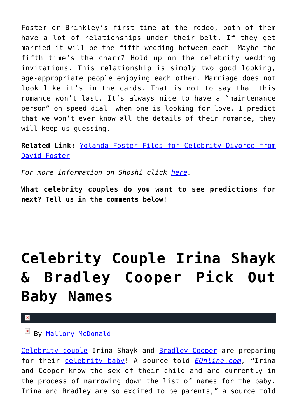Foster or Brinkley's first time at the rodeo, both of them have a lot of relationships under their belt. If they get married it will be the fifth wedding between each. Maybe the fifth time's the charm? Hold up on the celebrity wedding invitations. This relationship is simply two good looking, age-appropriate people enjoying each other. Marriage does not look like it's in the cards. That is not to say that this romance won't last. It's always nice to have a "maintenance person" on speed dial when one is looking for love. I predict that we won't ever know all the details of their romance, they will keep us quessing.

**Related Link:** [Yolanda Foster Files for Celebrity Divorce from](http://cupidspulse.com/104153/yolanda-foster-files-celebrity-divorce-david-foster/) [David Foster](http://cupidspulse.com/104153/yolanda-foster-files-celebrity-divorce-david-foster/)

*For more information on Shoshi click [here.](http://cupidspulse.com/relationship-dating-experts/yolanda-shoshana-shoshi-lifestyle-provocateur/)*

**What celebrity couples do you want to see predictions for next? Tell us in the comments below!**

# **[Celebrity Couple Irina Shayk](https://cupidspulse.com/116041/celebrity-couple-irina-shayk-bradley-cooper-pick-baby-names/) [& Bradley Cooper Pick Out](https://cupidspulse.com/116041/celebrity-couple-irina-shayk-bradley-cooper-pick-baby-names/) [Baby Names](https://cupidspulse.com/116041/celebrity-couple-irina-shayk-bradley-cooper-pick-baby-names/)**

By [Mallory McDonald](http://cupidspulse.com/114888/mallory-mcdonald/)

[Celebrity couple](http://cupidspulse.com/celebrity-relationships/long-term-relationships-flings/) Irina Shayk and [Bradley Cooper](http://cupidspulse.com/87043/bradley-cooper/) are preparing for their [celebrity baby!](http://cupidspulse.com/celebrity-relationships/celebrity-babies/) A source told *[EOnline.com,](http://www.eonline.com/news/817442/irina-shayk-bradley-cooper-have-picked-out-baby-names-the-latest-on-her-pregnancy) "*Irina and Cooper know the sex of their child and are currently in the process of narrowing down the list of names for the baby. Irina and Bradley are so excited to be parents," a source told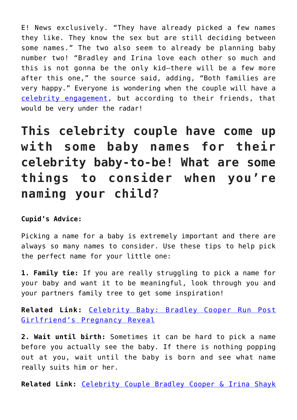E! News exclusively. "They have already picked a few names they like. They know the sex but are still deciding between some names." The two also seem to already be planning baby number two! "Bradley and Irina love each other so much and this is not gonna be the only kid—there will be a few more after this one," the source said, adding, "Both families are very happy." Everyone is wondering when the couple will have a [celebrity engagement](http://cupidspulse.com/celebrity-relationships/wedding-engagement/), but according to their friends, that would be very under the radar!

**This celebrity couple have come up with some baby names for their celebrity baby-to-be! What are some things to consider when you're naming your child?**

### **Cupid's Advice:**

Picking a name for a baby is extremely important and there are always so many names to consider. Use these tips to help pick the perfect name for your little one:

**1. Family tie:** If you are really struggling to pick a name for your baby and want it to be meaningful, look through you and your partners family tree to get some inspiration!

**Related Link:** [Celebrity Baby: Bradley Cooper Run Post](http://cupidspulse.com/115868/celebrity-baby-bradley-cooper-run-post-pregnancy-reveal/) [Girlfriend's Pregnancy Reveal](http://cupidspulse.com/115868/celebrity-baby-bradley-cooper-run-post-pregnancy-reveal/)

**2. Wait until birth:** Sometimes it can be hard to pick a name before you actually see the baby. If there is nothing popping out at you, wait until the baby is born and see what name really suits him or her.

**Related Link:** [Celebrity Couple Bradley Cooper & Irina Shayk](http://cupidspulse.com/115398/celebrity-couple-bradley-cooper-irina-shayk-discussed-marriage/)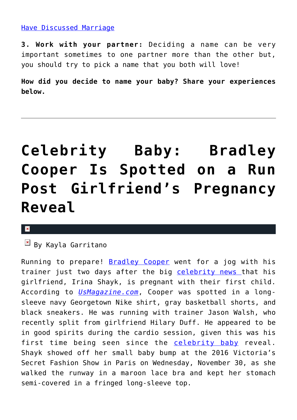### [Have Discussed Marriage](http://cupidspulse.com/115398/celebrity-couple-bradley-cooper-irina-shayk-discussed-marriage/)

**3. Work with your partner:** Deciding a name can be very important sometimes to one partner more than the other but, you should try to pick a name that you both will love!

**How did you decide to name your baby? Share your experiences below.**

## **[Celebrity Baby: Bradley](https://cupidspulse.com/115868/celebrity-baby-bradley-cooper-run-post-pregnancy-reveal/) [Cooper Is Spotted on a Run](https://cupidspulse.com/115868/celebrity-baby-bradley-cooper-run-post-pregnancy-reveal/) [Post Girlfriend's Pregnancy](https://cupidspulse.com/115868/celebrity-baby-bradley-cooper-run-post-pregnancy-reveal/) [Reveal](https://cupidspulse.com/115868/celebrity-baby-bradley-cooper-run-post-pregnancy-reveal/)**

#### $\pmb{\times}$

 $\overline{B}$  By Kayla Garritano

Running to prepare! [Bradley Cooper](http://cupidspulse.com/87043/bradley-cooper/) went for a jog with his trainer just two days after the big [celebrity news](http://cupidspulse.com/celebrity-news/) that his girlfriend, Irina Shayk, is pregnant with their first child. According to *[UsMagazine.com](http://www.usmagazine.com/celebrity-news/news/bradley-cooper-goes-for-jog-after-irina-shayks-pregnancy-reveal-w453687)*, Cooper was spotted in a longsleeve navy Georgetown Nike shirt, gray basketball shorts, and black sneakers. He was running with trainer Jason Walsh, who recently split from girlfriend Hilary Duff. He appeared to be in good spirits during the cardio session, given this was his first time being seen since the [celebrity baby](http://cupidspulse.com/celebrity-news/celebrity-babies/) reveal. Shayk showed off her small baby bump at the 2016 Victoria's Secret Fashion Show in Paris on Wednesday, November 30, as she walked the runway in a maroon lace bra and kept her stomach semi-covered in a fringed long-sleeve top.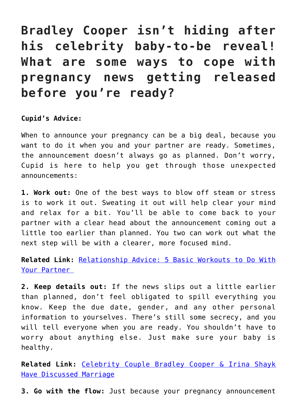### **Bradley Cooper isn't hiding after his celebrity baby-to-be reveal! What are some ways to cope with pregnancy news getting released before you're ready?**

### **Cupid's Advice:**

When to announce your pregnancy can be a big deal, because you want to do it when you and your partner are ready. Sometimes, the announcement doesn't always go as planned. Don't worry, Cupid is here to help you get through those unexpected announcements:

**1. Work out:** One of the best ways to blow off steam or stress is to work it out. Sweating it out will help clear your mind and relax for a bit. You'll be able to come back to your partner with a clear head about the announcement coming out a little too earlier than planned. You two can work out what the next step will be with a clearer, more focused mind.

**Related Link:** [Relationship Advice: 5 Basic Workouts to Do With](http://cupidspulse.com/84429/5-workouts-partner-relationship-advice/) [Your Partner](http://cupidspulse.com/84429/5-workouts-partner-relationship-advice/) 

**2. Keep details out:** If the news slips out a little earlier than planned, don't feel obligated to spill everything you know. Keep the due date, gender, and any other personal information to yourselves. There's still some secrecy, and you will tell everyone when you are ready. You shouldn't have to worry about anything else. Just make sure your baby is healthy.

**Related Link:** [Celebrity Couple Bradley Cooper & Irina Shayk](http://cupidspulse.com/115398/celebrity-couple-bradley-cooper-irina-shayk-discussed-marriage/) [Have Discussed Marriage](http://cupidspulse.com/115398/celebrity-couple-bradley-cooper-irina-shayk-discussed-marriage/)

**3. Go with the flow:** Just because your pregnancy announcement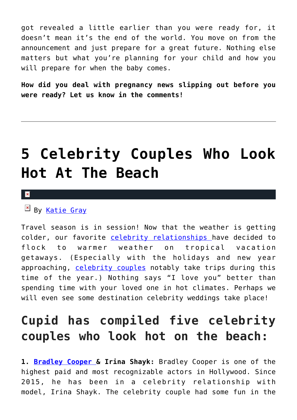got revealed a little earlier than you were ready for, it doesn't mean it's the end of the world. You move on from the announcement and just prepare for a great future. Nothing else matters but what you're planning for your child and how you will prepare for when the baby comes.

**How did you deal with pregnancy news slipping out before you were ready? Let us know in the comments!**

## **[5 Celebrity Couples Who Look](https://cupidspulse.com/115680/celebrity-couples-hot-beach/) [Hot At The Beach](https://cupidspulse.com/115680/celebrity-couples-hot-beach/)**

 $\mathbf x$ 

 $\overline{P}$  By [Katie Gray](http://cupidspulse.com/105088/katie-gray)

Travel season is in session! Now that the weather is getting colder, our favorite [celebrity relationships](http://cupidspulse.com/celebrity-relationships/long-term-relationships-flings/) have decided to flock to warmer weather on tropical vacation getaways. (Especially with the holidays and new year approaching, [celebrity couples](http://cupidspulse.com/celebrity-relationships/long-term-relationships-flings/) notably take trips during this time of the year.) Nothing says "I love you" better than spending time with your loved one in hot climates. Perhaps we will even see some destination celebrity weddings take place!

### **Cupid has compiled five celebrity couples who look hot on the beach:**

**1. [Bradley Cooper](http://cupidspulse.com/87043/bradley-cooper/) & Irina Shayk:** Bradley Cooper is one of the highest paid and most recognizable actors in Hollywood. Since 2015, he has been in a celebrity relationship with model, Irina Shayk. The celebrity couple had some fun in the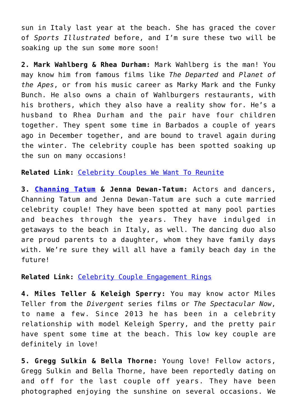sun in Italy last year at the beach. She has graced the cover of *Sports Illustrated* before, and I'm sure these two will be soaking up the sun some more soon!

**2. Mark Wahlberg & Rhea Durham:** Mark Wahlberg is the man! You may know him from famous films like *The Departed* and *Planet of the Apes*, or from his music career as Marky Mark and the Funky Bunch. He also owns a chain of Wahlburgers restaurants, with his brothers, which they also have a reality show for. He's a husband to Rhea Durham and the pair have four children together. They spent some time in Barbados a couple of years ago in December together, and are bound to travel again during the winter. The celebrity couple has been spotted soaking up the sun on many occasions!

**Related Link:** [Celebrity Couples We Want To Reunite](http://cupidspulse.com/112675/celebrity-couples-we-want-to-reunite/)

**3. [Channing Tatum](http://cupidspulse.com/87041/channing-tatum/) & Jenna Dewan-Tatum:** Actors and dancers, Channing Tatum and Jenna Dewan-Tatum are such a cute married celebrity couple! They have been spotted at many pool parties and beaches through the years. They have indulged in getaways to the beach in Italy, as well. The dancing duo also are proud parents to a daughter, whom they have family days with. We're sure they will all have a family beach day in the future!

### **Related Link:** [Celebrity Couple Engagement Rings](http://cupidspulse.com/112312/celebrity-couple-engagement-rings/)

**4. Miles Teller & Keleigh Sperry:** You may know actor Miles Teller from the *Divergent* series films or *The Spectacular Now*, to name a few. Since 2013 he has been in a celebrity relationship with model Keleigh Sperry, and the pretty pair have spent some time at the beach. This low key couple are definitely in love!

**5. Gregg Sulkin & Bella Thorne:** Young love! Fellow actors, Gregg Sulkin and Bella Thorne, have been reportedly dating on and off for the last couple off years. They have been photographed enjoying the sunshine on several occasions. We